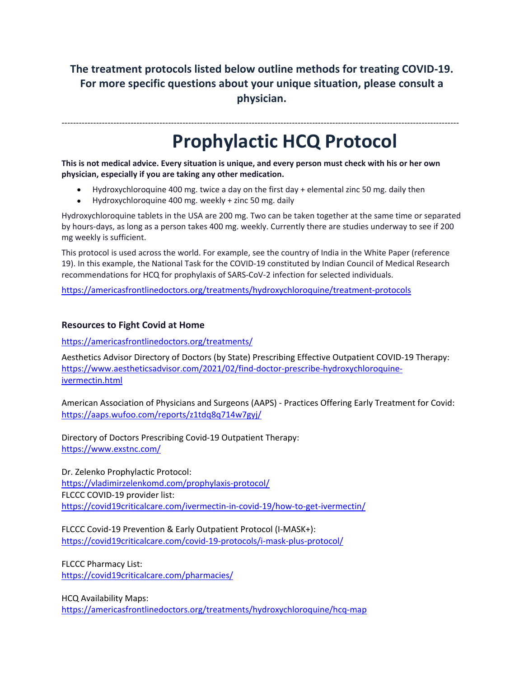## **The treatment protocols listed below outline methods for treating COVID-19. For more specific questions about your unique situation, please consult a physician.**

------------------------------------------------------------------------------------------------------------------------------------------

## **Prophylactic HCQ Protocol**

**This is not medical advice. Every situation is unique, and every person must check with his or her own physician, especially if you are taking any other medication.**

- Hydroxychloroquine 400 mg. twice a day on the first day + elemental zinc 50 mg. daily then
- Hydroxychloroquine 400 mg. weekly + zinc 50 mg. daily

Hydroxychloroquine tablets in the USA are 200 mg. Two can be taken together at the same time or separated by hours-days, as long as a person takes 400 mg. weekly. Currently there are studies underway to see if 200 mg weekly is sufficient.

This protocol is used across the world. For example, see the country of India in the White Paper (reference 19). In this example, the National Task for the COVID-19 constituted by Indian Council of Medical Research recommendations for HCQ for prophylaxis of SARS-CoV-2 infection for selected individuals.

<https://americasfrontlinedoctors.org/treatments/hydroxychloroquine/treatment-protocols>

## **Resources to Fight Covid at Home**

<https://americasfrontlinedoctors.org/treatments/>

Aesthetics Advisor Directory of Doctors (by State) Prescribing Effective Outpatient COVID-19 Therapy: [https://www.aestheticsadvisor.com/2021/02/find-doctor-prescribe-hydroxychloroquine](https://www.aestheticsadvisor.com/2021/02/find-doctor-prescribe-hydroxychloroquine-ivermectin.html)[ivermectin.html](https://www.aestheticsadvisor.com/2021/02/find-doctor-prescribe-hydroxychloroquine-ivermectin.html)

American Association of Physicians and Surgeons (AAPS) - Practices Offering Early Treatment for Covid: <https://aaps.wufoo.com/reports/z1tdq8q714w7gyj/>

Directory of Doctors Prescribing Covid-19 Outpatient Therapy: <https://www.exstnc.com/>

Dr. Zelenko Prophylactic Protocol: <https://vladimirzelenkomd.com/prophylaxis-protocol/> FLCCC COVID-19 provider list: <https://covid19criticalcare.com/ivermectin-in-covid-19/how-to-get-ivermectin/>

FLCCC Covid-19 Prevention & Early Outpatient Protocol (I-MASK+): <https://covid19criticalcare.com/covid-19-protocols/i-mask-plus-protocol/>

FLCCC Pharmacy List: <https://covid19criticalcare.com/pharmacies/>

HCQ Availability Maps: <https://americasfrontlinedoctors.org/treatments/hydroxychloroquine/hcq-map>